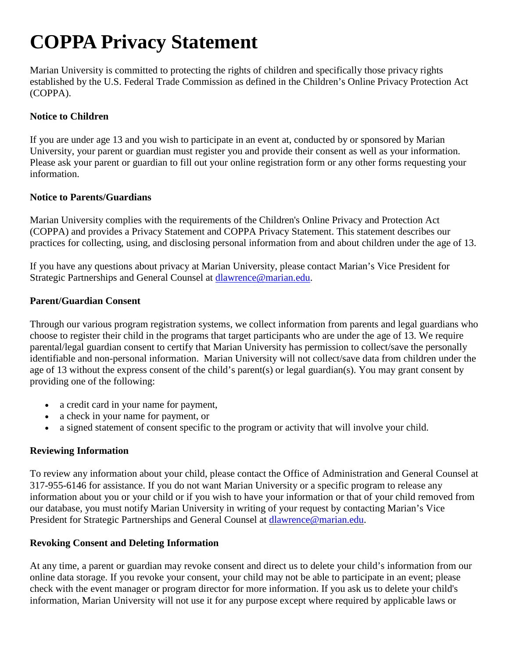# **COPPA Privacy Statement**

Marian University is committed to protecting the rights of children and specifically those privacy rights established by the U.S. Federal Trade Commission as defined in the Children's Online Privacy Protection Act (COPPA).

## **Notice to Children**

If you are under age 13 and you wish to participate in an event at, conducted by or sponsored by Marian University, your parent or guardian must register you and provide their consent as well as your information. Please ask your parent or guardian to fill out your online registration form or any other forms requesting your information.

#### **Notice to Parents/Guardians**

Marian University complies with the requirements of the Children's Online Privacy and Protection Act (COPPA) and provides a Privacy Statement and COPPA Privacy Statement. This statement describes our practices for collecting, using, and disclosing personal information from and about children under the age of 13.

If you have any questions about privacy at Marian University, please contact Marian's Vice President for Strategic Partnerships and General Counsel at [dlawrence@marian.edu.](mailto:dlawrence@marian.edu)

#### **Parent/Guardian Consent**

Through our various program registration systems, we collect information from parents and legal guardians who choose to register their child in the programs that target participants who are under the age of 13. We require parental/legal guardian consent to certify that Marian University has permission to collect/save the personally identifiable and non-personal information. Marian University will not collect/save data from children under the age of 13 without the express consent of the child's parent(s) or legal guardian(s). You may grant consent by providing one of the following:

- a credit card in your name for payment,
- a check in your name for payment, or
- a signed statement of consent specific to the program or activity that will involve your child.

#### **Reviewing Information**

To review any information about your child, please contact the Office of Administration and General Counsel at 317-955-6146 for assistance. If you do not want Marian University or a specific program to release any information about you or your child or if you wish to have your information or that of your child removed from our database, you must notify Marian University in writing of your request by contacting Marian's Vice President for Strategic Partnerships and General Counsel at **dlawrence@marian.edu.** 

#### **Revoking Consent and Deleting Information**

At any time, a parent or guardian may revoke consent and direct us to delete your child's information from our online data storage. If you revoke your consent, your child may not be able to participate in an event; please check with the event manager or program director for more information. If you ask us to delete your child's information, Marian University will not use it for any purpose except where required by applicable laws or